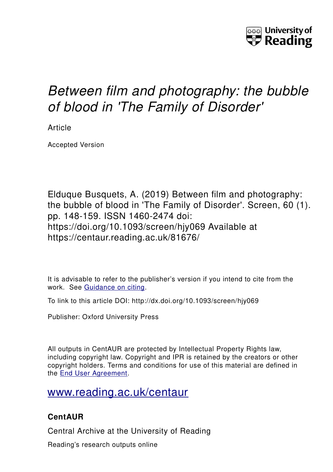

# *Between film and photography: the bubble of blood in 'The Family of Disorder'*

Article

Accepted Version

Elduque Busquets, A. (2019) Between film and photography: the bubble of blood in 'The Family of Disorder'. Screen, 60 (1). pp. 148-159. ISSN 1460-2474 doi: https://doi.org/10.1093/screen/hjy069 Available at https://centaur.reading.ac.uk/81676/

It is advisable to refer to the publisher's version if you intend to cite from the work. See [Guidance on citing.](http://centaur.reading.ac.uk/71187/10/CentAUR%20citing%20guide.pdf)

To link to this article DOI: http://dx.doi.org/10.1093/screen/hjy069

Publisher: Oxford University Press

All outputs in CentAUR are protected by Intellectual Property Rights law, including copyright law. Copyright and IPR is retained by the creators or other copyright holders. Terms and conditions for use of this material are defined in the [End User Agreement.](http://centaur.reading.ac.uk/licence)

## [www.reading.ac.uk/centaur](http://www.reading.ac.uk/centaur)

### **CentAUR**

Central Archive at the University of Reading

Reading's research outputs online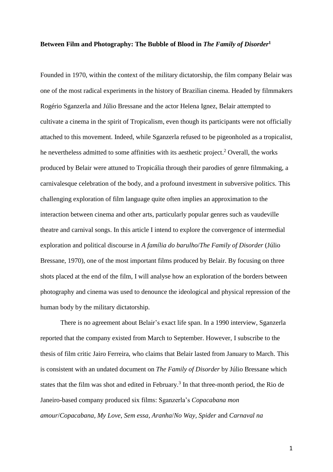#### **Between Film and Photography: The Bubble of Blood in** *The Family of Disorder***<sup>1</sup>**

Founded in 1970, within the context of the military dictatorship, the film company Belair was one of the most radical experiments in the history of Brazilian cinema. Headed by filmmakers Rogério Sganzerla and Júlio Bressane and the actor Helena Ignez, Belair attempted to cultivate a cinema in the spirit of Tropicalism, even though its participants were not officially attached to this movement. Indeed, while Sganzerla refused to be pigeonholed as a tropicalist, he nevertheless admitted to some affinities with its aesthetic project. <sup>2</sup> Overall, the works produced by Belair were attuned to Tropicália through their parodies of genre filmmaking, a carnivalesque celebration of the body, and a profound investment in subversive politics. This challenging exploration of film language quite often implies an approximation to the interaction between cinema and other arts, particularly popular genres such as vaudeville theatre and carnival songs. In this article I intend to explore the convergence of intermedial exploration and political discourse in *A família do barulho*/*The Family of Disorder* (Júlio Bressane, 1970), one of the most important films produced by Belair. By focusing on three shots placed at the end of the film, I will analyse how an exploration of the borders between photography and cinema was used to denounce the ideological and physical repression of the human body by the military dictatorship.

There is no agreement about Belair's exact life span. In a 1990 interview, Sganzerla reported that the company existed from March to September. However, I subscribe to the thesis of film critic Jairo Ferreira, who claims that Belair lasted from January to March. This is consistent with an undated document on *The Family of Disorder* by Júlio Bressane which states that the film was shot and edited in February. 3 In that three-month period, the Rio de Janeiro-based company produced six films: Sganzerla's *Copacabana mon amour*/*Copacabana, My Love*, *Sem essa, Aranha*/*No Way, Spider* and *Carnaval na*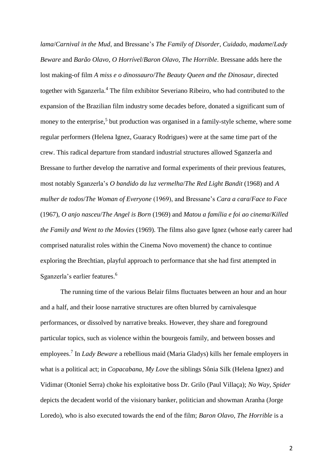*lama*/*Carnival in the Mud*, and Bressane's *The Family of Disorder*, *Cuidado, madame*/*Lady Beware* and *Barão Olavo, O Horrível*/*Baron Olavo, The Horrible*. Bressane adds here the lost making-of film *A miss e o dinossauro*/*The Beauty Queen and the Dinosaur*, directed together with Sganzerla.<sup>4</sup> The film exhibitor Severiano Ribeiro, who had contributed to the expansion of the Brazilian film industry some decades before, donated a significant sum of money to the enterprise,<sup>5</sup> but production was organised in a family-style scheme, where some regular performers (Helena Ignez, Guaracy Rodrigues) were at the same time part of the crew. This radical departure from standard industrial structures allowed Sganzerla and Bressane to further develop the narrative and formal experiments of their previous features, most notably Sganzerla's *O bandido da luz vermelha*/*The Red Light Bandit* (1968) and *A mulher de todos*/*The Woman of Everyone* (1969), and Bressane's *Cara a cara*/*Face to Face* (1967), *O anjo nasceu*/*The Angel is Born* (1969) and *Matou a família e foi ao cinema*/*Killed the Family and Went to the Movies* (1969). The films also gave Ignez (whose early career had comprised naturalist roles within the Cinema Novo movement) the chance to continue exploring the Brechtian, playful approach to performance that she had first attempted in Sganzerla's earlier features. 6

The running time of the various Belair films fluctuates between an hour and an hour and a half, and their loose narrative structures are often blurred by carnivalesque performances, or dissolved by narrative breaks. However, they share and foreground particular topics, such as violence within the bourgeois family, and between bosses and employees. 7 In *Lady Beware* a rebellious maid (Maria Gladys) kills her female employers in what is a political act; in *Copacabana, My Love* the siblings Sônia Silk (Helena Ignez) and Vidimar (Otoniel Serra) choke his exploitative boss Dr. Grilo (Paul Villaça); *No Way, Spider* depicts the decadent world of the visionary banker, politician and showman Aranha (Jorge Loredo), who is also executed towards the end of the film; *Baron Olavo, The Horrible* is a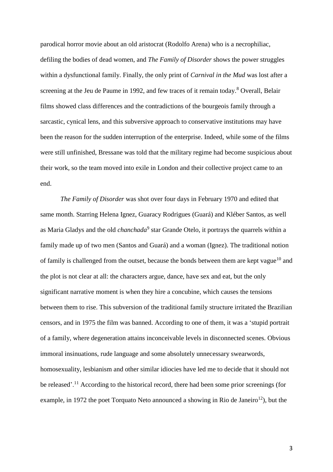parodical horror movie about an old aristocrat (Rodolfo Arena) who is a necrophiliac, defiling the bodies of dead women, and *The Family of Disorder* shows the power struggles within a dysfunctional family. Finally, the only print of *Carnival in the Mud* was lost after a screening at the Jeu de Paume in 1992, and few traces of it remain today.<sup>8</sup> Overall, Belair films showed class differences and the contradictions of the bourgeois family through a sarcastic, cynical lens, and this subversive approach to conservative institutions may have been the reason for the sudden interruption of the enterprise. Indeed, while some of the films were still unfinished, Bressane was told that the military regime had become suspicious about their work, so the team moved into exile in London and their collective project came to an end.

*The Family of Disorder* was shot over four days in February 1970 and edited that same month. Starring Helena Ignez, Guaracy Rodrigues (Guará) and Kléber Santos, as well as Maria Gladys and the old *chanchada*<sup>9</sup> star Grande Otelo, it portrays the quarrels within a family made up of two men (Santos and Guará) and a woman (Ignez). The traditional notion of family is challenged from the outset, because the bonds between them are kept vague<sup>10</sup> and the plot is not clear at all: the characters argue, dance, have sex and eat, but the only significant narrative moment is when they hire a concubine, which causes the tensions between them to rise. This subversion of the traditional family structure irritated the Brazilian censors, and in 1975 the film was banned. According to one of them, it was a 'stupid portrait of a family, where degeneration attains inconceivable levels in disconnected scenes. Obvious immoral insinuations, rude language and some absolutely unnecessary swearwords, homosexuality, lesbianism and other similar idiocies have led me to decide that it should not be released'.<sup>11</sup> According to the historical record, there had been some prior screenings (for example, in 1972 the poet Torquato Neto announced a showing in Rio de Janeiro<sup>12</sup>), but the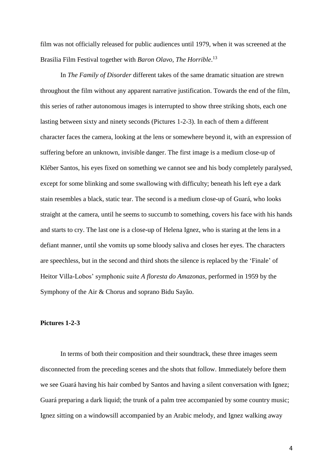film was not officially released for public audiences until 1979, when it was screened at the Brasilia Film Festival together with *Baron Olavo, The Horrible*. 13

In *The Family of Disorder* different takes of the same dramatic situation are strewn throughout the film without any apparent narrative justification. Towards the end of the film, this series of rather autonomous images is interrupted to show three striking shots, each one lasting between sixty and ninety seconds (Pictures 1-2-3). In each of them a different character faces the camera, looking at the lens or somewhere beyond it, with an expression of suffering before an unknown, invisible danger. The first image is a medium close-up of Kléber Santos, his eyes fixed on something we cannot see and his body completely paralysed, except for some blinking and some swallowing with difficulty; beneath his left eye a dark stain resembles a black, static tear. The second is a medium close-up of Guará, who looks straight at the camera, until he seems to succumb to something, covers his face with his hands and starts to cry. The last one is a close-up of Helena Ignez, who is staring at the lens in a defiant manner, until she vomits up some bloody saliva and closes her eyes. The characters are speechless, but in the second and third shots the silence is replaced by the 'Finale' of Heitor Villa-Lobos' symphonic suite *A floresta do Amazonas*, performed in 1959 by the Symphony of the Air & Chorus and soprano Bidu Sayão.

#### **Pictures 1-2-3**

In terms of both their composition and their soundtrack, these three images seem disconnected from the preceding scenes and the shots that follow. Immediately before them we see Guará having his hair combed by Santos and having a silent conversation with Ignez; Guará preparing a dark liquid; the trunk of a palm tree accompanied by some country music; Ignez sitting on a windowsill accompanied by an Arabic melody, and Ignez walking away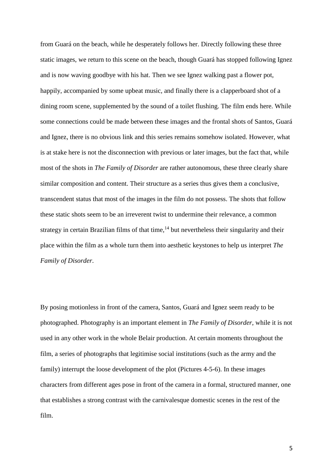from Guará on the beach, while he desperately follows her. Directly following these three static images, we return to this scene on the beach, though Guará has stopped following Ignez and is now waving goodbye with his hat. Then we see Ignez walking past a flower pot, happily, accompanied by some upbeat music, and finally there is a clapperboard shot of a dining room scene, supplemented by the sound of a toilet flushing. The film ends here. While some connections could be made between these images and the frontal shots of Santos, Guará and Ignez, there is no obvious link and this series remains somehow isolated. However, what is at stake here is not the disconnection with previous or later images, but the fact that, while most of the shots in *The Family of Disorder* are rather autonomous, these three clearly share similar composition and content. Their structure as a series thus gives them a conclusive, transcendent status that most of the images in the film do not possess. The shots that follow these static shots seem to be an irreverent twist to undermine their relevance, a common strategy in certain Brazilian films of that time,<sup>14</sup> but nevertheless their singularity and their place within the film as a whole turn them into aesthetic keystones to help us interpret *The Family of Disorder*.

By posing motionless in front of the camera, Santos, Guará and Ignez seem ready to be photographed. Photography is an important element in *The Family of Disorder*, while it is not used in any other work in the whole Belair production. At certain moments throughout the film, a series of photographs that legitimise social institutions (such as the army and the family) interrupt the loose development of the plot (Pictures 4-5-6). In these images characters from different ages pose in front of the camera in a formal, structured manner, one that establishes a strong contrast with the carnivalesque domestic scenes in the rest of the film.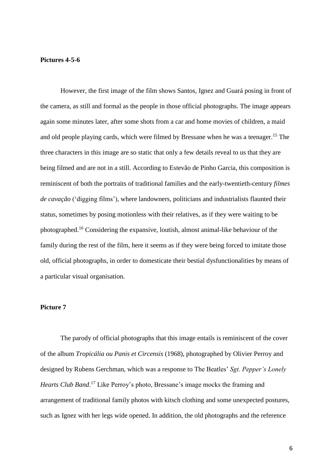#### **Pictures 4-5-6**

However, the first image of the film shows Santos, Ignez and Guará posing in front of the camera, as still and formal as the people in those official photographs. The image appears again some minutes later, after some shots from a car and home movies of children, a maid and old people playing cards, which were filmed by Bressane when he was a teenager. <sup>15</sup> The three characters in this image are so static that only a few details reveal to us that they are being filmed and are not in a still. According to Estevão de Pinho Garcia, this composition is reminiscent of both the portraits of traditional families and the early-twentieth-century *filmes de cavação* ('digging films'), where landowners, politicians and industrialists flaunted their status, sometimes by posing motionless with their relatives, as if they were waiting to be photographed. <sup>16</sup> Considering the expansive, loutish, almost animal-like behaviour of the family during the rest of the film, here it seems as if they were being forced to imitate those old, official photographs, in order to domesticate their bestial dysfunctionalities by means of a particular visual organisation.

#### **Picture 7**

The parody of official photographs that this image entails is reminiscent of the cover of the album *Tropicália ou Panis et Circensis* (1968), photographed by Olivier Perroy and designed by Rubens Gerchman, which was a response to The Beatles' *Sgt. Pepper's Lonely Hearts Club Band*. <sup>17</sup> Like Perroy's photo, Bressane's image mocks the framing and arrangement of traditional family photos with kitsch clothing and some unexpected postures, such as Ignez with her legs wide opened. In addition, the old photographs and the reference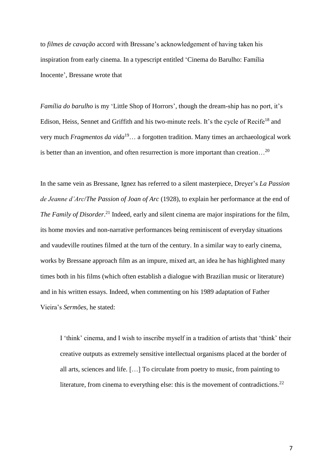to *filmes de cavação* accord with Bressane's acknowledgement of having taken his inspiration from early cinema. In a typescript entitled 'Cinema do Barulho: Família Inocente', Bressane wrote that

*Família do barulho* is my 'Little Shop of Horrors', though the dream-ship has no port, it's Edison, Heiss, Sennet and Griffith and his two-minute reels. It's the cycle of Recife<sup>18</sup> and very much *Fragmentos da vida*<sup>19</sup>… a forgotten tradition. Many times an archaeological work is better than an invention, and often resurrection is more important than creation...<sup>20</sup>

In the same vein as Bressane, Ignez has referred to a silent masterpiece, Dreyer's *La Passion de Jeanne d'Arc*/*The Passion of Joan of Arc* (1928), to explain her performance at the end of *The Family of Disorder*. <sup>21</sup> Indeed, early and silent cinema are major inspirations for the film, its home movies and non-narrative performances being reminiscent of everyday situations and vaudeville routines filmed at the turn of the century. In a similar way to early cinema, works by Bressane approach film as an impure, mixed art, an idea he has highlighted many times both in his films (which often establish a dialogue with Brazilian music or literature) and in his written essays. Indeed, when commenting on his 1989 adaptation of Father Vieira's *Sermões*, he stated:

I 'think' cinema, and I wish to inscribe myself in a tradition of artists that 'think' their creative outputs as extremely sensitive intellectual organisms placed at the border of all arts, sciences and life. […] To circulate from poetry to music, from painting to literature, from cinema to everything else: this is the movement of contradictions.<sup>22</sup>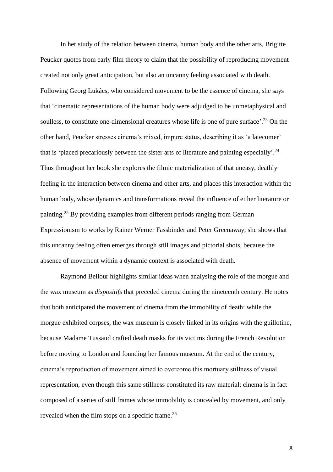In her study of the relation between cinema, human body and the other arts, Brigitte Peucker quotes from early film theory to claim that the possibility of reproducing movement created not only great anticipation, but also an uncanny feeling associated with death. Following Georg Lukács, who considered movement to be the essence of cinema, she says that 'cinematic representations of the human body were adjudged to be unmetaphysical and soulless, to constitute one-dimensional creatures whose life is one of pure surface'.<sup>23</sup> On the other hand, Peucker stresses cinema's mixed, impure status, describing it as 'a latecomer' that is 'placed precariously between the sister arts of literature and painting especially'.<sup>24</sup> Thus throughout her book she explores the filmic materialization of that uneasy, deathly feeling in the interaction between cinema and other arts, and places this interaction within the human body, whose dynamics and transformations reveal the influence of either literature or painting.<sup>25</sup> By providing examples from different periods ranging from German Expressionism to works by Rainer Werner Fassbinder and Peter Greenaway, she shows that this uncanny feeling often emerges through still images and pictorial shots, because the absence of movement within a dynamic context is associated with death.

Raymond Bellour highlights similar ideas when analysing the role of the morgue and the wax museum as *dispositifs* that preceded cinema during the nineteenth century. He notes that both anticipated the movement of cinema from the immobility of death: while the morgue exhibited corpses, the wax museum is closely linked in its origins with the guillotine, because Madame Tussaud crafted death masks for its victims during the French Revolution before moving to London and founding her famous museum. At the end of the century, cinema's reproduction of movement aimed to overcome this mortuary stillness of visual representation, even though this same stillness constituted its raw material: cinema is in fact composed of a series of still frames whose immobility is concealed by movement, and only revealed when the film stops on a specific frame.<sup>26</sup>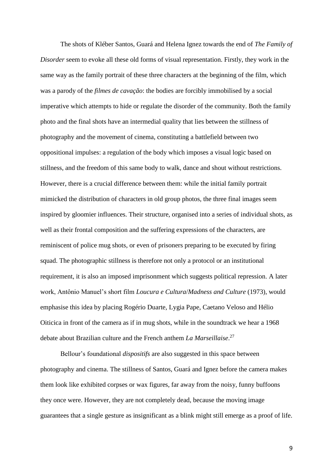The shots of Kléber Santos, Guará and Helena Ignez towards the end of *The Family of Disorder* seem to evoke all these old forms of visual representation. Firstly, they work in the same way as the family portrait of these three characters at the beginning of the film, which was a parody of the *filmes de cavação*: the bodies are forcibly immobilised by a social imperative which attempts to hide or regulate the disorder of the community. Both the family photo and the final shots have an intermedial quality that lies between the stillness of photography and the movement of cinema, constituting a battlefield between two oppositional impulses: a regulation of the body which imposes a visual logic based on stillness, and the freedom of this same body to walk, dance and shout without restrictions. However, there is a crucial difference between them: while the initial family portrait mimicked the distribution of characters in old group photos, the three final images seem inspired by gloomier influences. Their structure, organised into a series of individual shots, as well as their frontal composition and the suffering expressions of the characters, are reminiscent of police mug shots, or even of prisoners preparing to be executed by firing squad. The photographic stillness is therefore not only a protocol or an institutional requirement, it is also an imposed imprisonment which suggests political repression. A later work, Antônio Manuel's short film *Loucura e Cultura*/*Madness and Culture* (1973), would emphasise this idea by placing Rogério Duarte, Lygia Pape, Caetano Veloso and Hélio Oiticica in front of the camera as if in mug shots, while in the soundtrack we hear a 1968 debate about Brazilian culture and the French anthem *La Marseillaise*. 27

Bellour's foundational *dispositifs* are also suggested in this space between photography and cinema. The stillness of Santos, Guará and Ignez before the camera makes them look like exhibited corpses or wax figures, far away from the noisy, funny buffoons they once were. However, they are not completely dead, because the moving image guarantees that a single gesture as insignificant as a blink might still emerge as a proof of life.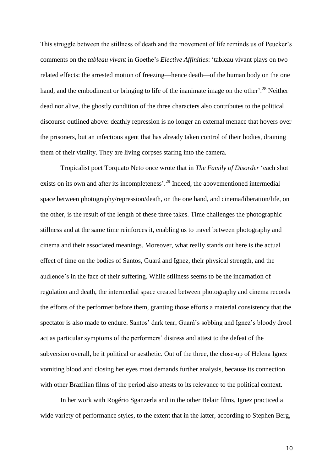This struggle between the stillness of death and the movement of life reminds us of Peucker's comments on the *tableau vivant* in Goethe's *Elective Affinities*: 'tableau vivant plays on two related effects: the arrested motion of freezing—hence death—of the human body on the one hand, and the embodiment or bringing to life of the inanimate image on the other'.<sup>28</sup> Neither dead nor alive, the ghostly condition of the three characters also contributes to the political discourse outlined above: deathly repression is no longer an external menace that hovers over the prisoners, but an infectious agent that has already taken control of their bodies, draining them of their vitality. They are living corpses staring into the camera.

Tropicalist poet Torquato Neto once wrote that in *The Family of Disorder* 'each shot exists on its own and after its incompleteness'.<sup>29</sup> Indeed, the abovementioned intermedial space between photography/repression/death, on the one hand, and cinema/liberation/life, on the other, is the result of the length of these three takes. Time challenges the photographic stillness and at the same time reinforces it, enabling us to travel between photography and cinema and their associated meanings. Moreover, what really stands out here is the actual effect of time on the bodies of Santos, Guará and Ignez, their physical strength, and the audience's in the face of their suffering. While stillness seems to be the incarnation of regulation and death, the intermedial space created between photography and cinema records the efforts of the performer before them, granting those efforts a material consistency that the spectator is also made to endure. Santos' dark tear, Guará's sobbing and Ignez's bloody drool act as particular symptoms of the performers' distress and attest to the defeat of the subversion overall, be it political or aesthetic. Out of the three, the close-up of Helena Ignez vomiting blood and closing her eyes most demands further analysis, because its connection with other Brazilian films of the period also attests to its relevance to the political context.

In her work with Rogério Sganzerla and in the other Belair films, Ignez practiced a wide variety of performance styles, to the extent that in the latter, according to Stephen Berg,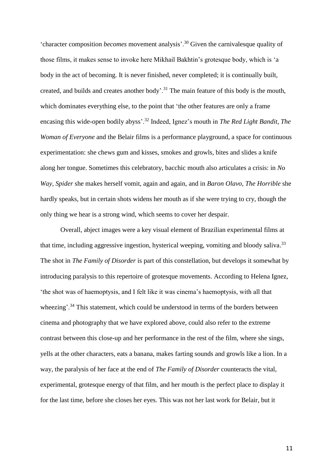'character composition *becomes* movement analysis'.<sup>30</sup> Given the carnivalesque quality of those films, it makes sense to invoke here Mikhail Bakhtin's grotesque body, which is 'a body in the act of becoming. It is never finished, never completed; it is continually built, created, and builds and creates another body'.<sup>31</sup> The main feature of this body is the mouth, which dominates everything else, to the point that 'the other features are only a frame encasing this wide-open bodily abyss'.<sup>32</sup> Indeed, Ignez's mouth in *The Red Light Bandit*, *The Woman of Everyone* and the Belair films is a performance playground, a space for continuous experimentation: she chews gum and kisses, smokes and growls, bites and slides a knife along her tongue. Sometimes this celebratory, bacchic mouth also articulates a crisis: in *No Way, Spider* she makes herself vomit, again and again, and in *Baron Olavo, The Horrible* she hardly speaks, but in certain shots widens her mouth as if she were trying to cry, though the only thing we hear is a strong wind, which seems to cover her despair.

Overall, abject images were a key visual element of Brazilian experimental films at that time, including aggressive ingestion, hysterical weeping, vomiting and bloody saliva.<sup>33</sup> The shot in *The Family of Disorder* is part of this constellation, but develops it somewhat by introducing paralysis to this repertoire of grotesque movements. According to Helena Ignez, 'the shot was of haemoptysis, and I felt like it was cinema's haemoptysis, with all that wheezing'.<sup>34</sup> This statement, which could be understood in terms of the borders between cinema and photography that we have explored above, could also refer to the extreme contrast between this close-up and her performance in the rest of the film, where she sings, yells at the other characters, eats a banana, makes farting sounds and growls like a lion. In a way, the paralysis of her face at the end of *The Family of Disorder* counteracts the vital, experimental, grotesque energy of that film, and her mouth is the perfect place to display it for the last time, before she closes her eyes. This was not her last work for Belair, but it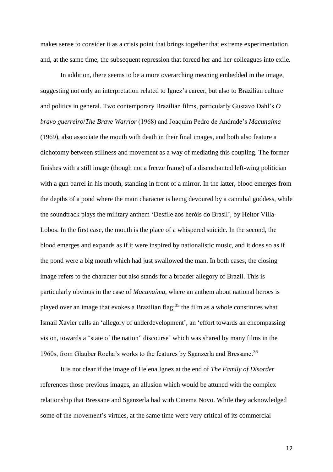makes sense to consider it as a crisis point that brings together that extreme experimentation and, at the same time, the subsequent repression that forced her and her colleagues into exile.

In addition, there seems to be a more overarching meaning embedded in the image, suggesting not only an interpretation related to Ignez's career, but also to Brazilian culture and politics in general. Two contemporary Brazilian films, particularly Gustavo Dahl's *O bravo guerreiro*/*The Brave Warrior* (1968) and Joaquim Pedro de Andrade's *Macunaíma* (1969), also associate the mouth with death in their final images, and both also feature a dichotomy between stillness and movement as a way of mediating this coupling. The former finishes with a still image (though not a freeze frame) of a disenchanted left-wing politician with a gun barrel in his mouth, standing in front of a mirror. In the latter, blood emerges from the depths of a pond where the main character is being devoured by a cannibal goddess, while the soundtrack plays the military anthem 'Desfile aos heróis do Brasil', by Heitor Villa-Lobos. In the first case, the mouth is the place of a whispered suicide. In the second, the blood emerges and expands as if it were inspired by nationalistic music, and it does so as if the pond were a big mouth which had just swallowed the man. In both cases, the closing image refers to the character but also stands for a broader allegory of Brazil. This is particularly obvious in the case of *Macunaíma*, where an anthem about national heroes is played over an image that evokes a Brazilian flag;<sup>35</sup> the film as a whole constitutes what Ismail Xavier calls an 'allegory of underdevelopment', an 'effort towards an encompassing vision, towards a "state of the nation" discourse' which was shared by many films in the 1960s, from Glauber Rocha's works to the features by Sganzerla and Bressane. 36

It is not clear if the image of Helena Ignez at the end of *The Family of Disorder* references those previous images, an allusion which would be attuned with the complex relationship that Bressane and Sganzerla had with Cinema Novo. While they acknowledged some of the movement's virtues, at the same time were very critical of its commercial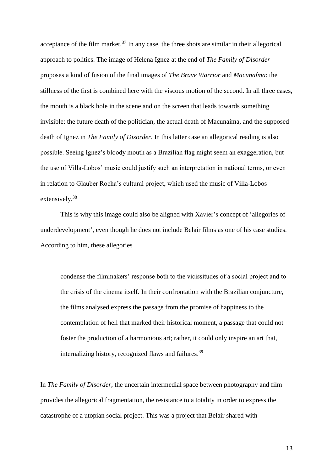acceptance of the film market. $37$  In any case, the three shots are similar in their allegorical approach to politics. The image of Helena Ignez at the end of *The Family of Disorder* proposes a kind of fusion of the final images of *The Brave Warrior* and *Macunaíma*: the stillness of the first is combined here with the viscous motion of the second. In all three cases, the mouth is a black hole in the scene and on the screen that leads towards something invisible: the future death of the politician, the actual death of Macunaíma, and the supposed death of Ignez in *The Family of Disorder*. In this latter case an allegorical reading is also possible. Seeing Ignez's bloody mouth as a Brazilian flag might seem an exaggeration, but the use of Villa-Lobos' music could justify such an interpretation in national terms, or even in relation to Glauber Rocha's cultural project, which used the music of Villa-Lobos extensively.<sup>38</sup>

This is why this image could also be aligned with Xavier's concept of 'allegories of underdevelopment', even though he does not include Belair films as one of his case studies. According to him, these allegories

condense the filmmakers' response both to the vicissitudes of a social project and to the crisis of the cinema itself. In their confrontation with the Brazilian conjuncture, the films analysed express the passage from the promise of happiness to the contemplation of hell that marked their historical moment, a passage that could not foster the production of a harmonious art; rather, it could only inspire an art that, internalizing history, recognized flaws and failures.<sup>39</sup>

In *The Family of Disorder*, the uncertain intermedial space between photography and film provides the allegorical fragmentation, the resistance to a totality in order to express the catastrophe of a utopian social project. This was a project that Belair shared with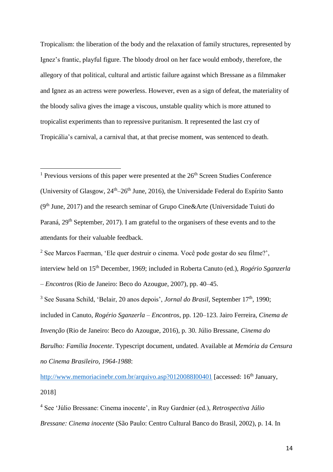Tropicalism: the liberation of the body and the relaxation of family structures, represented by Ignez's frantic, playful figure. The bloody drool on her face would embody, therefore, the allegory of that political, cultural and artistic failure against which Bressane as a filmmaker and Ignez as an actress were powerless. However, even as a sign of defeat, the materiality of the bloody saliva gives the image a viscous, unstable quality which is more attuned to tropicalist experiments than to repressive puritanism. It represented the last cry of Tropicália's carnival, a carnival that, at that precise moment, was sentenced to death.

 $\overline{a}$ 

<sup>2</sup> See Marcos Faerman, 'Ele quer destruir o cinema. Você pode gostar do seu filme?', interview held on 15th December, 1969; included in Roberta Canuto (ed.), *Rogério Sganzerla – Encontros* (Rio de Janeiro: Beco do Azougue, 2007), pp. 40–45.

<http://www.memoriacinebr.com.br/arquivo.asp?0120088I00401> [accessed: 16<sup>th</sup> January, 2018]

<sup>4</sup> See 'Júlio Bressane: Cinema inocente', in Ruy Gardnier (ed.), *Retrospectiva Júlio Bressane: Cinema inocente* (São Paulo: Centro Cultural Banco do Brasil, 2002), p. 14. In

<sup>&</sup>lt;sup>1</sup> Previous versions of this paper were presented at the  $26<sup>th</sup>$  Screen Studies Conference (University of Glasgow,  $24<sup>th</sup>-26<sup>th</sup>$  June, 2016), the Universidade Federal do Espírito Santo  $(9<sup>th</sup> June, 2017)$  and the research seminar of Grupo Cine&Arte (Universidade Tuiuti do Paraná, 29<sup>th</sup> September, 2017). I am grateful to the organisers of these events and to the attendants for their valuable feedback.

<sup>&</sup>lt;sup>3</sup> See Susana Schild, 'Belair, 20 anos depois', *Jornal do Brasil*, September 17<sup>th</sup>, 1990; included in Canuto, *Rogério Sganzerla – Encontros*, pp. 120–123. Jairo Ferreira, *Cinema de Invenção* (Rio de Janeiro: Beco do Azougue, 2016), p. 30. Júlio Bressane, *Cinema do Barulho: Família Inocente*. Typescript document, undated. Available at *Memória da Censura no Cinema Brasileiro, 1964-1988*: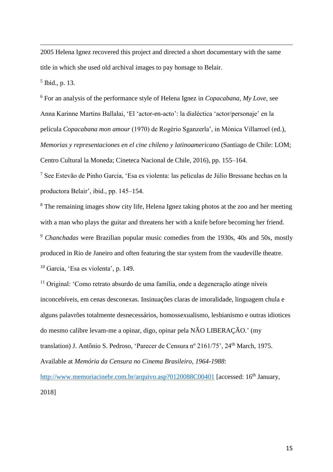2005 Helena Ignez recovered this project and directed a short documentary with the same title in which she used old archival images to pay homage to Belair.

5 Ibid., p. 13.

 $\overline{a}$ 

<sup>6</sup> For an analysis of the performance style of Helena Ignez in *Copacabana, My Love*, see Anna Karinne Martins Ballalai, 'El 'actor-en-acto': la dialéctica 'actor/personaje' en la película *Copacabana mon amour* (1970) de Rogério Sganzerla', in Mónica Villarroel (ed.), *Memorias y representaciones en el cine chileno y latinoamericano* (Santiago de Chile: LOM; Centro Cultural la Moneda; Cineteca Nacional de Chile, 2016), pp. 155–164.

<sup>7</sup> See Estevão de Pinho Garcia, 'Esa es violenta: las películas de Júlio Bressane hechas en la productora Belair', ibid., pp. 145–154.

<sup>8</sup> The remaining images show city life, Helena Ignez taking photos at the zoo and her meeting with a man who plays the guitar and threatens her with a knife before becoming her friend. <sup>9</sup> *Chanchadas* were Brazilian popular music comedies from the 1930s, 40s and 50s, mostly produced in Rio de Janeiro and often featuring the star system from the vaudeville theatre. <sup>10</sup> Garcia, 'Esa es violenta', p. 149.

<sup>11</sup> Original: 'Como retrato absurdo de uma família, onde a degeneração atinge níveis inconcebíveis, em cenas desconexas. Insinuações claras de imoralidade, linguagem chula e alguns palavrões totalmente desnecessários, homossexualismo, lesbianismo e outras idiotices do mesmo calibre levam-me a opinar, digo, opinar pela NÃO LIBERAÇÃO.' (my translation) J. Antônio S. Pedroso, 'Parecer de Censura nº 2161/75', 24<sup>th</sup> March, 1975. Available at *Memória da Censura no Cinema Brasileiro, 1964-1988*:

<http://www.memoriacinebr.com.br/arquivo.asp?0120088C00401> [accessed: 16<sup>th</sup> January, 2018]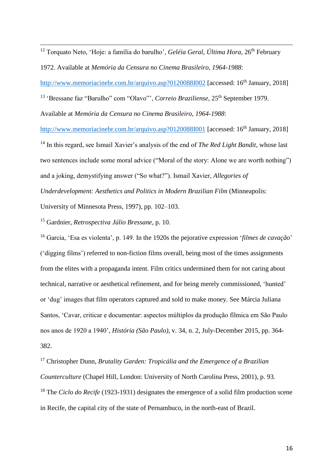$\overline{a}$ <sup>12</sup> Torquato Neto, 'Hoje: a família do barulho', *Geléia Geral, Última Hora*, 26<sup>th</sup> February 1972. Available at *Memória da Censura no Cinema Brasileiro, 1964-1988*: <http://www.memoriacinebr.com.br/arquivo.asp?0120088I002> [accessed: 16<sup>th</sup> January, 2018]

<sup>13</sup> 'Bressane faz "Barulho" com "Olavo"', *Correio Braziliense*, 25<sup>th</sup> September 1979. Available at *Memória da Censura no Cinema Brasileiro, 1964-1988*:

<http://www.memoriacinebr.com.br/arquivo.asp?0120088I001> [accessed: 16<sup>th</sup> January, 2018] <sup>14</sup> In this regard, see Ismail Xavier's analysis of the end of *The Red Light Bandit*, whose last two sentences include some moral advice ("Moral of the story: Alone we are worth nothing") and a joking, demystifying answer ("So what?"). Ismail Xavier, *Allegories of Underdevelopment: Aesthetics and Politics in Modern Brazilian Film* (Minneapolis: University of Minnesota Press, 1997), pp. 102–103.

<sup>15</sup> Gardnier, *Retrospectiva Júlio Bressane*, p. 10.

<sup>16</sup> Garcia, 'Esa es violenta', p. 149. In the 1920s the pejorative expression '*filmes de cavação*' ('digging films') referred to non-fiction films overall, being most of the times assignments from the elites with a propaganda intent. Film critics undermined them for not caring about technical, narrative or aesthetical refinement, and for being merely commissioned, 'hunted' or 'dug' images that film operators captured and sold to make money. See Márcia Juliana Santos, 'Cavar, criticar e documentar: aspectos múltiplos da produção fílmica em São Paulo nos anos de 1920 a 1940', *História (São Paulo)*, v. 34, n. 2, July-December 2015, pp. 364- 382.

<sup>17</sup> Christopher Dunn, *Brutality Garden: Tropicália and the Emergence of a Brazilian Counterculture* (Chapel Hill, London: University of North Carolina Press, 2001), p. 93. <sup>18</sup> The *Ciclo do Recife* (1923-1931) designates the emergence of a solid film production scene in Recife, the capital city of the state of Pernambuco, in the north-east of Brazil.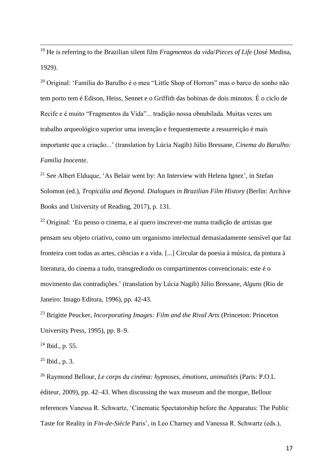<sup>19</sup> He is referring to the Brazilian silent film *Fragmentos da vida*/*Pieces of Life* (José Medina, 1929).

<sup>20</sup> Original: 'Família do Barulho é o meu "Little Shop of Horrors" mas o barco do sonho não tem porto tem é Edison, Heiss, Sennet e o Griffith das bobinas de dois minutos. É o ciclo de Recife e é muito "Fragmentos da Vida"... tradição nossa obnubilada. Muitas vezes um trabalho arqueológico superior uma invenção e frequentemente a ressurreição é mais importante que a criação...' (translation by Lúcia Nagib) Júlio Bressane, *Cinema do Barulho: Família Inocente*.

<sup>21</sup> See Albert Elduque, 'As Belair went by: An Interview with Helena Ignez', in Stefan Solomon (ed.), *Tropicália and Beyond. Dialogues in Brazilian Film History* (Berlin: Archive Books and University of Reading, 2017), p. 131.

<sup>22</sup> Original: 'Eu penso o cinema, e aí quero inscrever-me numa tradição de artistas que pensam seu objeto criativo, como um organismo intelectual demasiadamente sensível que faz fronteira com todas as artes, ciências e a vida. [...] Circular da poesia à música, da pintura à literatura, do cinema a tudo, transgredindo os compartimentos convencionais: este é o movimento das contradições.' (translation by Lúcia Nagib) Júlio Bressane, *Alguns* (Rio de Janeiro: Imago Editora, 1996), pp. 42-43.

<sup>23</sup> Brigitte Peucker, *Incorporating Images: Film and the Rival Arts* (Princeton: Princeton University Press, 1995), pp. 8–9.

 $24$  Ibid., p. 55.

 $\overline{a}$ 

 $25$  Ibid., p. 3.

<sup>26</sup> Raymond Bellour, *Le corps du cinéma: hypnoses, émotions, animalités* (Paris: P.O.L éditeur, 2009), pp. 42–43. When discussing the wax museum and the morgue, Bellour references Vanessa R. Schwartz, 'Cinematic Spectatorship before the Apparatus: The Public Taste for Reality in *Fin-de-Siècle* Paris', in Leo Charney and Vanessa R. Schwartz (eds.),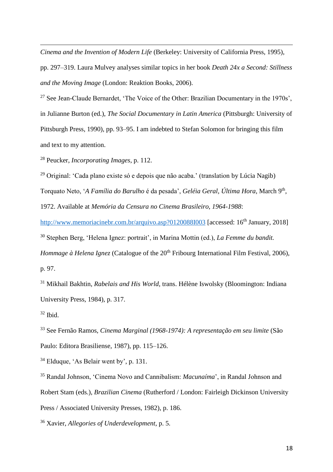*Cinema and the Invention of Modern Life* (Berkeley: University of California Press, 1995),

pp. 297–319. Laura Mulvey analyses similar topics in her book *Death 24x a Second: Stillness and the Moving Image* (London: Reaktion Books, 2006).

<sup>27</sup> See Jean-Claude Bernardet, 'The Voice of the Other: Brazilian Documentary in the 1970s', in Julianne Burton (ed.), *The Social Documentary in Latin America* (Pittsburgh: University of Pittsburgh Press, 1990), pp. 93–95. I am indebted to Stefan Solomon for bringing this film and text to my attention.

<sup>28</sup> Peucker, *Incorporating Images*, p. 112.

<sup>29</sup> Original: 'Cada plano existe só e depois que não acaba.' (translation by Lúcia Nagib)

Torquato Neto, '*A Família do Barulho* é da pesada', *Geléia Geral*, *Última Hora*, March 9th ,

1972. Available at *Memória da Censura no Cinema Brasileiro, 1964-1988*:

<http://www.memoriacinebr.com.br/arquivo.asp?0120088I003> [accessed: 16<sup>th</sup> January, 2018]

<sup>30</sup> Stephen Berg, 'Helena Ignez: portrait', in Marina Mottin (ed.), *La Femme du bandit.* 

*Hommage à Helena Ignez* (Catalogue of the 20<sup>th</sup> Fribourg International Film Festival, 2006), p. 97.

<sup>31</sup> Mikhail Bakhtin, *Rabelais and His World*, trans. Hélène Iswolsky (Bloomington: Indiana University Press, 1984), p. 317.

 $32$  Ibid.

 $\overline{a}$ 

<sup>33</sup> See Fernão Ramos, *Cinema Marginal (1968-1974): A representação em seu limite* (São Paulo: Editora Brasiliense, 1987), pp. 115–126.

<sup>34</sup> Elduque, 'As Belair went by', p. 131.

<sup>35</sup> Randal Johnson, 'Cinema Novo and Cannibalism: *Macunaíma*', in Randal Johnson and Robert Stam (eds.), *Brazilian Cinema* (Rutherford / London: Fairleigh Dickinson University Press / Associated University Presses, 1982), p. 186.

<sup>36</sup> Xavier, *Allegories of Underdevelopment*, p. 5.